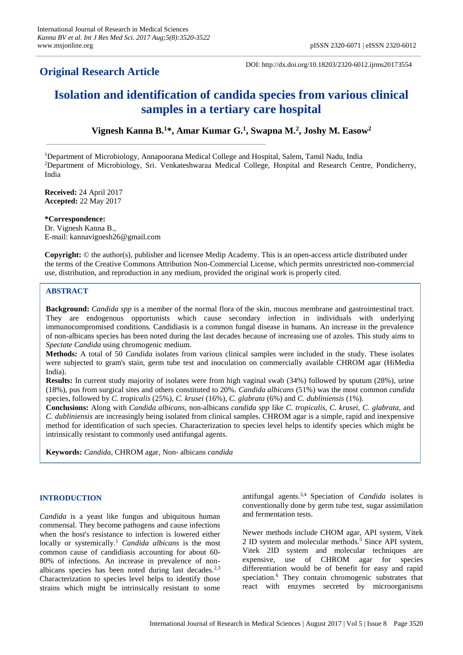# **Original Research Article**

DOI: http://dx.doi.org/10.18203/2320-6012.ijrms20173554

# **Isolation and identification of candida species from various clinical samples in a tertiary care hospital**

**Vignesh Kanna B.<sup>1</sup>\*, Amar Kumar G. 1 , Swapna M.<sup>2</sup> , Joshy M. Easow<sup>2</sup>**

<sup>1</sup>Department of Microbiology, Annapoorana Medical College and Hospital, Salem, Tamil Nadu, India <sup>2</sup>Department of Microbiology, Sri. Venkateshwaraa Medical College, Hospital and Research Centre, Pondicherry, India

**Received:** 24 April 2017 **Accepted:** 22 May 2017

**\*Correspondence:** Dr. Vignesh Kanna B., E-mail: kannavignesh26@gmail.com

**Copyright:** © the author(s), publisher and licensee Medip Academy. This is an open-access article distributed under the terms of the Creative Commons Attribution Non-Commercial License, which permits unrestricted non-commercial use, distribution, and reproduction in any medium, provided the original work is properly cited.

# **ABSTRACT**

**Background:** *Candida spp* is a member of the normal flora of the skin, mucous membrane and gastrointestinal tract. They are endogenous opportunists which cause secondary infection in individuals with underlying immunocompromised conditions. Candidiasis is a common fungal disease in humans. An increase in the prevalence of non-albicans species has been noted during the last decades because of increasing use of azoles. This study aims to *Spectate Candida* using chromogenic medium.

**Methods:** A total of 50 *Candida* isolates from various clinical samples were included in the study. These isolates were subjected to gram's stain, germ tube test and inoculation on commercially available CHROM agar (HiMedia India).

**Results:** In current study majority of isolates were from high vaginal swab (34%) followed by sputum (28%), urine (18%), pus from surgical sites and others constituted to 20%. *Candida albicans* (51%) was the most common *candida* species, followed by *C. tropicalis* (25%), *C. krusei* (16%), *C. glabrata* (6%) and *C. dubliniensis* (1%).

**Conclusions:** Along with *Candida albicans*, non-albicans *candida spp* like *C. tropicalis*, *C. krusei*, *C. glabrata*, and *C. dubliniensis* are increasingly being isolated from clinical samples. CHROM agar is a simple, rapid and inexpensive method for identification of such species. Characterization to species level helps to identify species which might be intrinsically resistant to commonly used antifungal agents.

**Keywords:** *Candida*, CHROM agar, Non- albicans *candida*

# **INTRODUCTION**

*Candida* is a yeast like fungus and ubiquitous human commensal. They become pathogens and cause infections when the host's resistance to infection is lowered either locally or systemically.<sup>1</sup> *Candida albicans* is the most common cause of candidiasis accounting for about 60- 80% of infections. An increase in prevalence of nonalbicans species has been noted during last decades. $2,3$ Characterization to species level helps to identify those strains which might be intrinsically resistant to some antifungal agents.3,4 Speciation of *Candida* isolates is conventionally done by germ tube test, sugar assimilation and fermentation tests.

Newer methods include CHOM agar, API system, Vitek 2 ID system and molecular methods.<sup>5</sup> Since API system, Vitek 2ID system and molecular techniques are expensive, use of CHROM agar for species differentiation would be of benefit for easy and rapid speciation.<sup>6</sup> They contain chromogenic substrates that react with enzymes secreted by microorganisms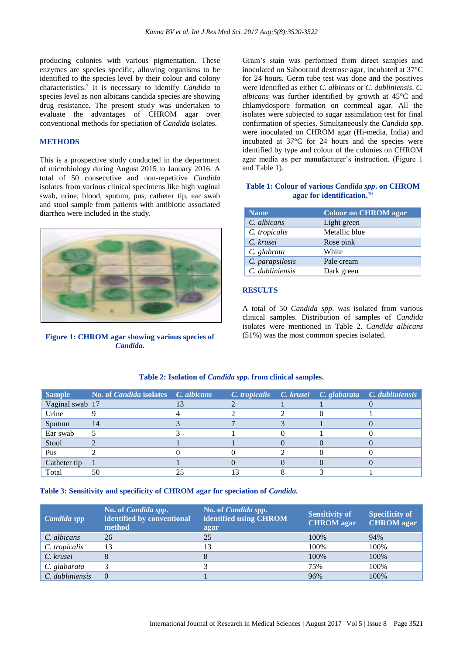producing colonies with various pigmentation. These enzymes are species specific, allowing organisms to be identified to the species level by their colour and colony characteristics.<sup>7</sup> It is necessary to identify *Candida* to species level as non albicans candida species are showing drug resistance. The present study was undertaken to evaluate the advantages of CHROM agar over conventional methods for speciation of *Candida* isolates.

#### **METHODS**

This is a prospective study conducted in the department of microbiology during August 2015 to January 2016. A total of 50 consecutive and non-repetitive *Candida* isolates from various clinical specimens like high vaginal swab, urine, blood, sputum, pus, catheter tip, ear swab and stool sample from patients with antibiotic associated diarrhea were included in the study.



**Figure 1: CHROM agar showing various species of**  *Candida***.**

Gram's stain was performed from direct samples and inoculated on Sabouraud dextrose agar, incubated at 37°C for 24 hours. Germ tube test was done and the positives were identified as either *C. albicans* or *C. dubliniensis*. *C. albicans* was further identified by growth at 45°C and chlamydospore formation on cornmeal agar. All the isolates were subjected to sugar assimilation test for final confirmation of species. Simultaneously the *Candida spp*. were inoculated on CHROM agar (Hi-media, India) and incubated at 37°C for 24 hours and the species were identified by type and colour of the colonies on CHROM agar media as per manufacturer's instruction. (Figure 1 and Table 1).

#### **Table 1: Colour of various** *Candida spp***. on CHROM agar for identification.<sup>10</sup>**

| <b>Name</b>     | <b>Colour on CHROM agar</b> |
|-----------------|-----------------------------|
| C. albicans     | Light green                 |
| C. tropicalis   | Metallic blue               |
| C. krusei       | Rose pink                   |
| C. glabrata     | White                       |
| C. parapsilosis | Pale cream                  |
| C. dubliniensis | Dark green                  |

#### **RESULTS**

A total of 50 *Candida spp*. was isolated from various clinical samples. Distribution of samples of *Candida* isolates were mentioned in Table 2. *Candida albicans* (51%) was the most common species isolated.

| <b>Sample</b>   | <b>No. of Candida isolates</b> C. albicans |  |  | $\overline{C}$ . tropicalis $\overline{C}$ . krusei $\overline{C}$ . glabarata $\overline{C}$ . dubliniensis |
|-----------------|--------------------------------------------|--|--|--------------------------------------------------------------------------------------------------------------|
| Vaginal swab 17 |                                            |  |  |                                                                                                              |
| Urine           |                                            |  |  |                                                                                                              |
| Sputum          | -14                                        |  |  |                                                                                                              |
| Ear swab        |                                            |  |  |                                                                                                              |
| Stool           |                                            |  |  |                                                                                                              |
| Pus             |                                            |  |  |                                                                                                              |
| Catheter tip    |                                            |  |  |                                                                                                              |
| Total           | 50                                         |  |  |                                                                                                              |

#### **Table 2: Isolation of** *Candida spp.* **from clinical samples.**

#### Table 3: Sensitivity and specificity of CHROM agar for speciation of *Candida*.

| Candida spp     | No. of <i>Candida spp.</i><br>identified by conventional<br>method | No. of <i>Candida spp.</i><br>identified using CHROM<br>agar | <b>Sensitivity of</b><br><b>CHROM</b> agar | <b>Specificity of</b><br><b>CHROM</b> agar |
|-----------------|--------------------------------------------------------------------|--------------------------------------------------------------|--------------------------------------------|--------------------------------------------|
| C. albicans     | 26                                                                 | 25                                                           | 100%                                       | 94%                                        |
| C. tropicalis   | 13                                                                 | 13                                                           | 100%                                       | 100%                                       |
| C. krusei       |                                                                    | 8                                                            | 100%                                       | 100%                                       |
| C. glabarata    |                                                                    |                                                              | 75%                                        | 100%                                       |
| C. dubliniensis | $\Omega$                                                           |                                                              | 96%                                        | 100%                                       |